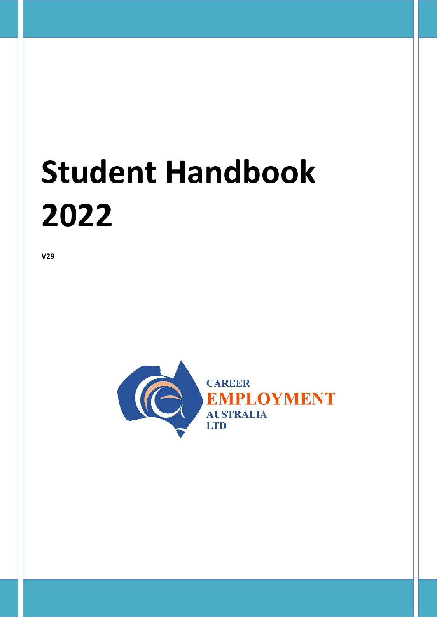# **Student Handbook 2022**

**V29**

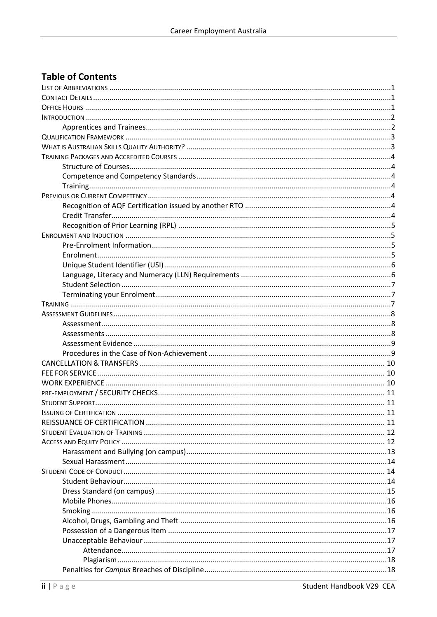# **Table of Contents**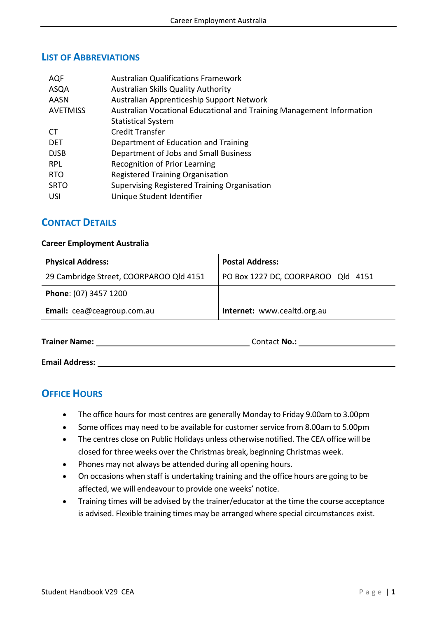#### <span id="page-4-0"></span>**LIST OF ABBREVIATIONS**

| <b>AQF</b>      | <b>Australian Qualifications Framework</b>                            |
|-----------------|-----------------------------------------------------------------------|
| ASQA            | Australian Skills Quality Authority                                   |
| <b>AASN</b>     | Australian Apprenticeship Support Network                             |
| <b>AVETMISS</b> | Australian Vocational Educational and Training Management Information |
|                 | <b>Statistical System</b>                                             |
| <b>CT</b>       | <b>Credit Transfer</b>                                                |
| <b>DET</b>      | Department of Education and Training                                  |
| <b>DJSB</b>     | Department of Jobs and Small Business                                 |
| RPL.            | Recognition of Prior Learning                                         |
| <b>RTO</b>      | <b>Registered Training Organisation</b>                               |
| <b>SRTO</b>     | Supervising Registered Training Organisation                          |
| <b>USI</b>      | Unique Student Identifier                                             |

#### <span id="page-4-1"></span>**CONTACT DETAILS**

#### **Career Employment Australia**

| <b>Postal Address:</b>             |
|------------------------------------|
| PO Box 1227 DC, COORPAROO Qld 4151 |
|                                    |
| Internet: www.cealtd.org.au        |
|                                    |

**Trainer Name:** Contact **No.:** Contact **No.:** 

**Email Address:** 

# <span id="page-4-2"></span>**OFFICE HOURS**

- The office hours for most centres are generally Monday to Friday 9.00am to 3.00pm
- Some offices may need to be available for customer service from 8.00am to 5.00pm
- The centres close on Public Holidays unless otherwisenotified. The CEA office will be closed for three weeks over the Christmas break, beginning Christmas week.
- Phones may not always be attended during all opening hours.
- On occasions when staff is undertaking training and the office hours are going to be affected, we will endeavour to provide one weeks' notice.
- Training times will be advised by the trainer/educator at the time the course acceptance is advised. Flexible training times may be arranged where special circumstances exist.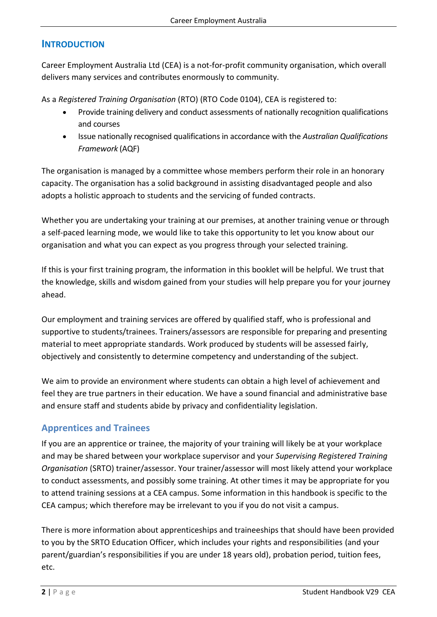# <span id="page-5-0"></span>**INTRODUCTION**

Career Employment Australia Ltd (CEA) is a not-for-profit community organisation, which overall delivers many services and contributes enormously to community.

As a *Registered Training Organisation* (RTO) (RTO Code 0104), CEA is registered to:

- Provide training delivery and conduct assessments of nationally recognition qualifications and courses
- Issue nationally recognised qualifications in accordance with the *Australian Qualifications Framework* (AQF)

The organisation is managed by a committee whose members perform their role in an honorary capacity. The organisation has a solid background in assisting disadvantaged people and also adopts a holistic approach to students and the servicing of funded contracts.

Whether you are undertaking your training at our premises, at another training venue or through a self-paced learning mode, we would like to take this opportunity to let you know about our organisation and what you can expect as you progress through your selected training.

If this is your first training program, the information in this booklet will be helpful. We trust that the knowledge, skills and wisdom gained from your studies will help prepare you for your journey ahead.

Our employment and training services are offered by qualified staff, who is professional and supportive to students/trainees. Trainers/assessors are responsible for preparing and presenting material to meet appropriate standards. Work produced by students will be assessed fairly, objectively and consistently to determine competency and understanding of the subject.

We aim to provide an environment where students can obtain a high level of achievement and feel they are true partners in their education. We have a sound financial and administrative base and ensure staff and students abide by privacy and confidentiality legislation.

# <span id="page-5-1"></span>**Apprentices and Trainees**

If you are an apprentice or trainee, the majority of your training will likely be at your workplace and may be shared between your workplace supervisor and your *Supervising Registered Training Organisation* (SRTO) trainer/assessor. Your trainer/assessor will most likely attend your workplace to conduct assessments, and possibly some training. At other times it may be appropriate for you to attend training sessions at a CEA campus. Some information in this handbook is specific to the CEA campus; which therefore may be irrelevant to you if you do not visit a campus.

There is more information about apprenticeships and traineeships that should have been provided to you by the SRTO Education Officer, which includes your rights and responsibilities (and your parent/guardian's responsibilities if you are under 18 years old), probation period, tuition fees, etc.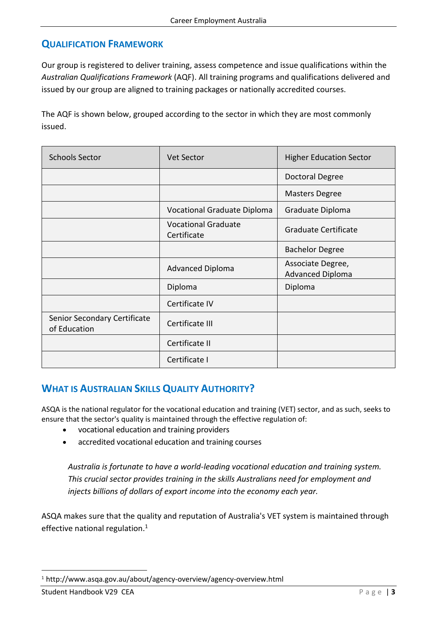# <span id="page-6-0"></span>**QUALIFICATION FRAMEWORK**

Our group is registered to deliver training, assess competence and issue qualifications within the *Australian Qualifications Framework* (AQF). All training programs and qualifications delivered and issued by our group are aligned to training packages or nationally accredited courses.

The AQF is shown below, grouped according to the sector in which they are most commonly issued.

| <b>Schools Sector</b>                        | <b>Vet Sector</b>                         | <b>Higher Education Sector</b>               |  |  |
|----------------------------------------------|-------------------------------------------|----------------------------------------------|--|--|
|                                              |                                           | Doctoral Degree                              |  |  |
|                                              |                                           | <b>Masters Degree</b>                        |  |  |
|                                              | Vocational Graduate Diploma               | Graduate Diploma                             |  |  |
|                                              | <b>Vocational Graduate</b><br>Certificate | Graduate Certificate                         |  |  |
|                                              |                                           | <b>Bachelor Degree</b>                       |  |  |
|                                              | <b>Advanced Diploma</b>                   | Associate Degree,<br><b>Advanced Diploma</b> |  |  |
|                                              | Diploma                                   | Diploma                                      |  |  |
|                                              | Certificate IV                            |                                              |  |  |
| Senior Secondary Certificate<br>of Education | Certificate III                           |                                              |  |  |
|                                              | Certificate II                            |                                              |  |  |
|                                              | Certificate I                             |                                              |  |  |

# <span id="page-6-1"></span>**WHAT IS AUSTRALIAN SKILLS QUALITY AUTHORITY?**

ASQA is the national regulator for the vocational education and training (VET) sector, and as such, seeks to ensure that the sector's quality is maintained through the effective regulation of:

- vocational education and training providers
- accredited vocational education and training courses

*Australia is fortunate to have a world-leading vocational education and training system. This crucial sector provides training in the skills Australians need for employment and injects billions of dollars of export income into the economy each year.*

ASQA makes sure that the quality and reputation of Australia's VET system is maintained through effective national regulation. $1$ 

<sup>1</sup> <http://www.asqa.gov.au/about/agency-overview/agency-overview.html>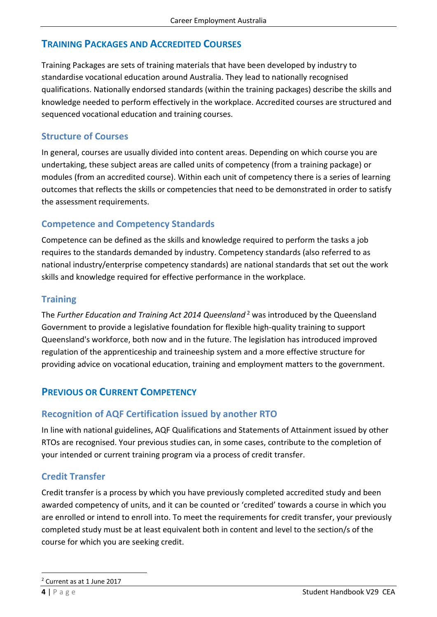# <span id="page-7-0"></span>**TRAINING PACKAGES AND ACCREDITED COURSES**

Training Packages are sets of training materials that have been developed by industry to standardise vocational education around Australia. They lead to nationally recognised qualifications. Nationally endorsed standards (within the training packages) describe the skills and knowledge needed to perform effectively in the workplace. Accredited courses are structured and sequenced vocational education and training courses.

## <span id="page-7-1"></span>**Structure of Courses**

In general, courses are usually divided into content areas. Depending on which course you are undertaking, these subject areas are called units of competency (from a training package) or modules (from an accredited course). Within each unit of competency there is a series of learning outcomes that reflects the skills or competencies that need to be demonstrated in order to satisfy the assessment requirements.

# <span id="page-7-2"></span>**Competence and Competency Standards**

Competence can be defined as the skills and knowledge required to perform the tasks a job requires to the standards demanded by industry. Competency standards (also referred to as national industry/enterprise competency standards) are national standards that set out the work skills and knowledge required for effective performance in the workplace.

# <span id="page-7-3"></span>**Training**

The *Further Education and Training Act 2014 Queensland* <sup>2</sup> was introduced by the Queensland Government to provide a legislative foundation for flexible high-quality training to support Queensland's workforce, both now and in the future. The legislation has introduced improved regulation of the apprenticeship and traineeship system and a more effective structure for providing advice on vocational education, training and employment matters to the government.

# <span id="page-7-4"></span>**PREVIOUS OR CURRENT COMPETENCY**

# <span id="page-7-5"></span>**Recognition of AQF Certification issued by another RTO**

In line with national guidelines, AQF Qualifications and Statements of Attainment issued by other RTOs are recognised. Your previous studies can, in some cases, contribute to the completion of your intended or current training program via a process of credit transfer.

# <span id="page-7-6"></span>**Credit Transfer**

Credit transfer is a process by which you have previously completed accredited study and been awarded competency of units, and it can be counted or 'credited' towards a course in which you are enrolled or intend to enroll into. To meet the requirements for credit transfer, your previously completed study must be at least equivalent both in content and level to the section/s of the course for which you are seeking credit.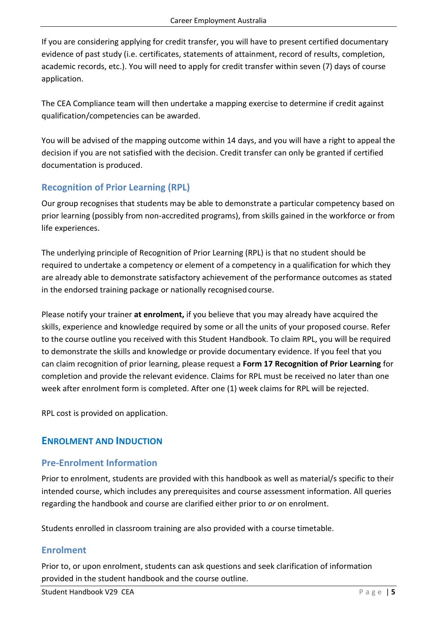If you are considering applying for credit transfer, you will have to present certified documentary evidence of past study (i.e. certificates, statements of attainment, record of results, completion, academic records, etc.). You will need to apply for credit transfer within seven (7) days of course application.

The CEA Compliance team will then undertake a mapping exercise to determine if credit against qualification/competencies can be awarded.

You will be advised of the mapping outcome within 14 days, and you will have a right to appeal the decision if you are not satisfied with the decision. Credit transfer can only be granted if certified documentation is produced.

# <span id="page-8-0"></span>**Recognition of Prior Learning (RPL)**

Our group recognises that students may be able to demonstrate a particular competency based on prior learning (possibly from non-accredited programs), from skills gained in the workforce or from life experiences.

The underlying principle of Recognition of Prior Learning (RPL) is that no student should be required to undertake a competency or element of a competency in a qualification for which they are already able to demonstrate satisfactory achievement of the performance outcomes as stated in the endorsed training package or nationally recognised course.

Please notify your trainer **at enrolment,** if you believe that you may already have acquired the skills, experience and knowledge required by some or all the units of your proposed course. Refer to the course outline you received with this Student Handbook. To claim RPL, you will be required to demonstrate the skills and knowledge or provide documentary evidence. If you feel that you can claim recognition of prior learning, please request a **Form 17 Recognition of Prior Learning** for completion and provide the relevant evidence. Claims for RPL must be received no later than one week after enrolment form is completed. After one (1) week claims for RPL will be rejected.

<span id="page-8-1"></span>RPL cost is provided on application.

# **ENROLMENT AND INDUCTION**

# <span id="page-8-2"></span>**Pre-Enrolment Information**

Prior to enrolment, students are provided with this handbook as well as material/s specific to their intended course, which includes any prerequisites and course assessment information. All queries regarding the handbook and course are clarified either prior to *or* on enrolment.

Students enrolled in classroom training are also provided with a course timetable.

# <span id="page-8-3"></span>**Enrolment**

Prior to, or upon enrolment, students can ask questions and seek clarification of information provided in the student handbook and the course outline.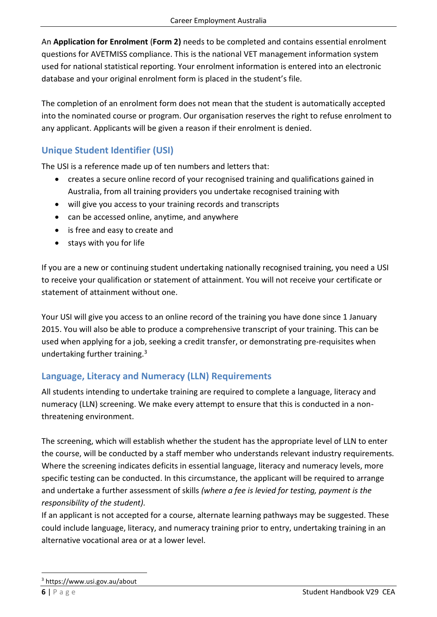An **Application for Enrolment** (**Form 2)** needs to be completed and contains essential enrolment questions for AVETMISS compliance. This is the national VET management information system used for national statistical reporting. Your enrolment information is entered into an electronic database and your original enrolment form is placed in the student's file.

The completion of an enrolment form does not mean that the student is automatically accepted into the nominated course or program. Our organisation reserves the right to refuse enrolment to any applicant. Applicants will be given a reason if their enrolment is denied.

# <span id="page-9-0"></span>**Unique Student Identifier (USI)**

The USI is a reference made up of ten numbers and letters that:

- creates a secure online record of your recognised training and qualifications gained in Australia, from all training providers you undertake recognised training with
- will give you access to your training records and transcripts
- can be accessed online, anytime, and anywhere
- is free and easy to create and
- stays with you for life

If you are a new or continuing student undertaking nationally recognised training, you need a USI to receive your qualification or statement of attainment. You will not receive your certificate or statement of attainment without one.

Your USI will give you access to an online record of the training you have done since 1 January 2015. You will also be able to produce a comprehensive transcript of your training. This can be used when applying for a job, seeking a credit transfer, or demonstrating pre-requisites when undertaking further training.<sup>3</sup>

# <span id="page-9-1"></span>**Language, Literacy and Numeracy (LLN) Requirements**

All students intending to undertake training are required to complete a language, literacy and numeracy (LLN) screening. We make every attempt to ensure that this is conducted in a nonthreatening environment.

The screening, which will establish whether the student has the appropriate level of LLN to enter the course, will be conducted by a staff member who understands relevant industry requirements. Where the screening indicates deficits in essential language, literacy and numeracy levels, more specific testing can be conducted. In this circumstance, the applicant will be required to arrange and undertake a further assessment of skills *(where a fee is levied for testing, payment is the responsibility of the student).*

If an applicant is not accepted for a course, alternate learning pathways may be suggested. These could include language, literacy, and numeracy training prior to entry, undertaking training in an alternative vocational area or at a lower level.

<sup>3</sup> https://www.usi.gov.au/about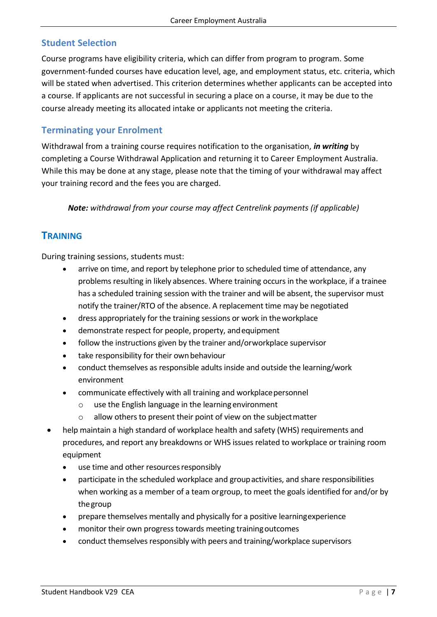# <span id="page-10-0"></span>**Student Selection**

Course programs have eligibility criteria, which can differ from program to program. Some government-funded courses have education level, age, and employment status, etc. criteria, which will be stated when advertised. This criterion determines whether applicants can be accepted into a course. If applicants are not successful in securing a place on a course, it may be due to the course already meeting its allocated intake or applicants not meeting the criteria.

#### <span id="page-10-1"></span>**Terminating your Enrolment**

Withdrawal from a training course requires notification to the organisation, *in writing* by completing a Course Withdrawal Application and returning it to Career Employment Australia. While this may be done at any stage, please note that the timing of your withdrawal may affect your training record and the fees you are charged.

*Note: withdrawal from your course may affect Centrelink payments (if applicable)*

#### <span id="page-10-2"></span>**TRAINING**

During training sessions, students must:

- arrive on time, and report by telephone prior to scheduled time of attendance, any problems resulting in likely absences. Where training occurs in the workplace, if a trainee has a scheduled training session with the trainer and will be absent, the supervisor must notify the trainer/RTO of the absence. A replacement time may be negotiated
- dress appropriately for the training sessions or work in theworkplace
- demonstrate respect for people, property, andequipment
- follow the instructions given by the trainer and/orworkplace supervisor
- take responsibility for their own behaviour
- conduct themselves as responsible adults inside and outside the learning/work environment
- communicate effectively with all training and workplace personnel
	- o use the English language in the learning environment
	- $\circ$  allow others to present their point of view on the subject matter
- help maintain a high standard of workplace health and safety (WHS) requirements and procedures, and report any breakdowns or WHS issues related to workplace or training room equipment
	- use time and other resources responsibly
	- participate in the scheduled workplace and groupactivities, and share responsibilities when working as a member of a team orgroup, to meet the goals identified for and/or by thegroup
	- prepare themselves mentally and physically for a positive learningexperience
	- monitor their own progress towards meeting trainingoutcomes
	- conduct themselves responsibly with peers and training/workplace supervisors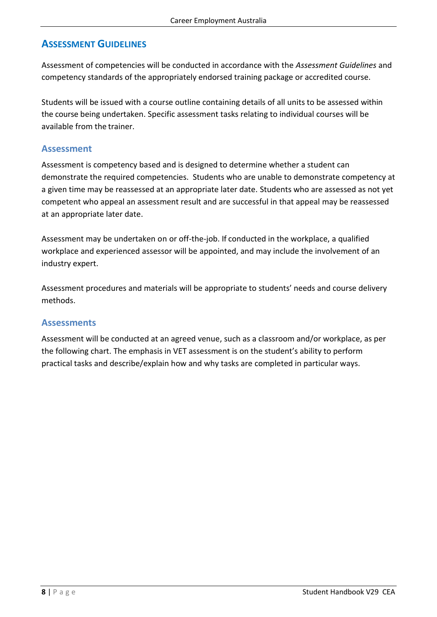# <span id="page-11-0"></span>**ASSESSMENT GUIDELINES**

Assessment of competencies will be conducted in accordance with the *Assessment Guidelines* and competency standards of the appropriately endorsed training package or accredited course.

Students will be issued with a course outline containing details of all units to be assessed within the course being undertaken. Specific assessment tasks relating to individual courses will be available from the trainer.

#### <span id="page-11-1"></span>**Assessment**

Assessment is competency based and is designed to determine whether a student can demonstrate the required competencies. Students who are unable to demonstrate competency at a given time may be reassessed at an appropriate later date. Students who are assessed as not yet competent who appeal an assessment result and are successful in that appeal may be reassessed at an appropriate later date.

Assessment may be undertaken on or off-the-job. If conducted in the workplace, a qualified workplace and experienced assessor will be appointed, and may include the involvement of an industry expert.

Assessment procedures and materials will be appropriate to students' needs and course delivery methods.

#### <span id="page-11-2"></span>**Assessments**

Assessment will be conducted at an agreed venue, such as a classroom and/or workplace, as per the following chart. The emphasis in VET assessment is on the student's ability to perform practical tasks and describe/explain how and why tasks are completed in particular ways.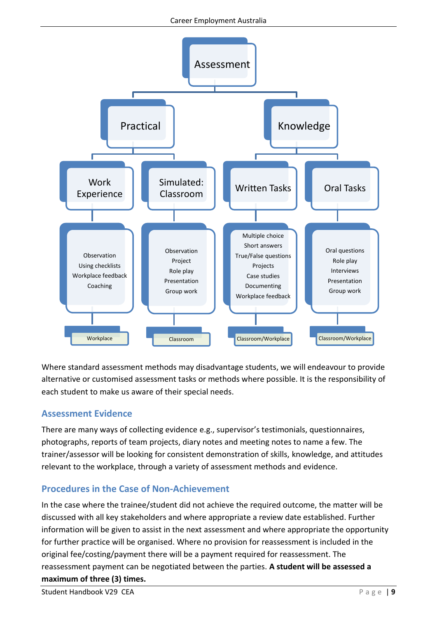

Where standard assessment methods may disadvantage students, we will endeavour to provide alternative or customised assessment tasks or methods where possible. It is the responsibility of each student to make us aware of their special needs.

# <span id="page-12-0"></span>**Assessment Evidence**

There are many ways of collecting evidence e.g., supervisor's testimonials, questionnaires, photographs, reports of team projects, diary notes and meeting notes to name a few. The trainer/assessor will be looking for consistent demonstration of skills, knowledge, and attitudes relevant to the workplace, through a variety of assessment methods and evidence.

# <span id="page-12-1"></span>**Procedures in the Case of Non-Achievement**

In the case where the trainee/student did not achieve the required outcome, the matter will be discussed with all key stakeholders and where appropriate a review date established. Further information will be given to assist in the next assessment and where appropriate the opportunity for further practice will be organised. Where no provision for reassessment is included in the original fee/costing/payment there will be a payment required for reassessment. The reassessment payment can be negotiated between the parties. **A student will be assessed a maximum of three (3) times.**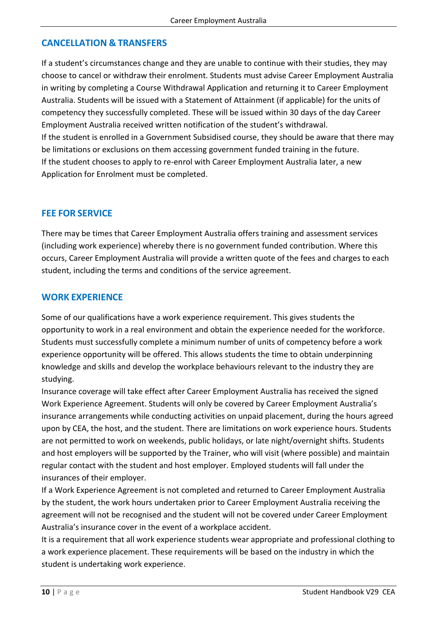#### <span id="page-13-0"></span>**CANCELLATION & TRANSFERS**

If a student's circumstances change and they are unable to continue with their studies, they may choose to cancel or withdraw their enrolment. Students must advise Career Employment Australia in writing by completing a Course Withdrawal Application and returning it to Career Employment Australia. Students will be issued with a Statement of Attainment (if applicable) for the units of competency they successfully completed. These will be issued within 30 days of the day Career Employment Australia received written notification of the student's withdrawal. If the student is enrolled in a Government Subsidised course, they should be aware that there may be limitations or exclusions on them accessing government funded training in the future. If the student chooses to apply to re-enrol with Career Employment Australia later, a new Application for Enrolment must be completed.

#### <span id="page-13-1"></span>**FEE FOR SERVICE**

There may be times that Career Employment Australia offers training and assessment services (including work experience) whereby there is no government funded contribution. Where this occurs, Career Employment Australia will provide a written quote of the fees and charges to each student, including the terms and conditions of the service agreement.

#### <span id="page-13-2"></span>**WORK EXPERIENCE**

Some of our qualifications have a work experience requirement. This gives students the opportunity to work in a real environment and obtain the experience needed for the workforce. Students must successfully complete a minimum number of units of competency before a work experience opportunity will be offered. This allows students the time to obtain underpinning knowledge and skills and develop the workplace behaviours relevant to the industry they are studying.

Insurance coverage will take effect after Career Employment Australia has received the signed Work Experience Agreement. Students will only be covered by Career Employment Australia's insurance arrangements while conducting activities on unpaid placement, during the hours agreed upon by CEA, the host, and the student. There are limitations on work experience hours. Students are not permitted to work on weekends, public holidays, or late night/overnight shifts. Students and host employers will be supported by the Trainer, who will visit (where possible) and maintain regular contact with the student and host employer. Employed students will fall under the insurances of their employer.

If a Work Experience Agreement is not completed and returned to Career Employment Australia by the student, the work hours undertaken prior to Career Employment Australia receiving the agreement will not be recognised and the student will not be covered under Career Employment Australia's insurance cover in the event of a workplace accident.

It is a requirement that all work experience students wear appropriate and professional clothing to a work experience placement. These requirements will be based on the industry in which the student is undertaking work experience.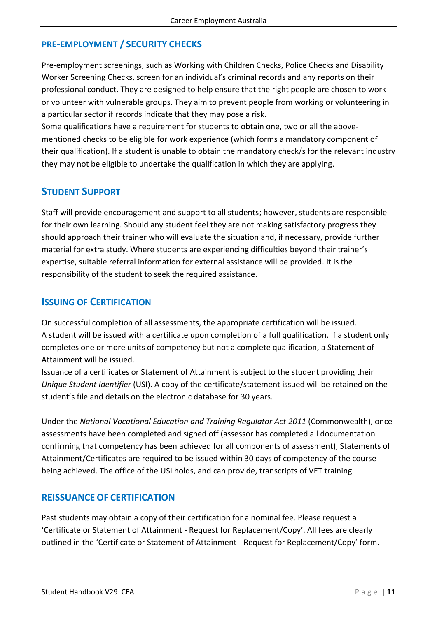### <span id="page-14-0"></span>**PRE-EMPLOYMENT / SECURITY CHECKS**

Pre-employment screenings, such as Working with Children Checks, Police Checks and Disability Worker Screening Checks, screen for an individual's criminal records and any reports on their professional conduct. They are designed to help ensure that the right people are chosen to work or volunteer with vulnerable groups. They aim to prevent people from working or volunteering in a particular sector if records indicate that they may pose a risk.

Some qualifications have a requirement for students to obtain one, two or all the abovementioned checks to be eligible for work experience (which forms a mandatory component of their qualification). If a student is unable to obtain the mandatory check/s for the relevant industry they may not be eligible to undertake the qualification in which they are applying.

#### <span id="page-14-1"></span>**STUDENT SUPPORT**

Staff will provide encouragement and support to all students; however, students are responsible for their own learning. Should any student feel they are not making satisfactory progress they should approach their trainer who will evaluate the situation and, if necessary, provide further material for extra study. Where students are experiencing difficulties beyond their trainer's expertise, suitable referral information for external assistance will be provided. It is the responsibility of the student to seek the required assistance.

#### <span id="page-14-2"></span>**ISSUING OF CERTIFICATION**

On successful completion of all assessments, the appropriate certification will be issued. A student will be issued with a certificate upon completion of a full qualification. If a student only completes one or more units of competency but not a complete qualification, a Statement of Attainment will be issued.

Issuance of a certificates or Statement of Attainment is subject to the student providing their *Unique Student Identifier* (USI). A copy of the certificate/statement issued will be retained on the student's file and details on the electronic database for 30 years.

Under the *National Vocational Education and Training Regulator Act 2011* (Commonwealth), once assessments have been completed and signed off (assessor has completed all documentation confirming that competency has been achieved for all components of assessment), Statements of Attainment/Certificates are required to be issued within 30 days of competency of the course being achieved. The office of the [USI](http://www.usi.gov.au/) holds, and can provide, transcripts of VET training.

#### <span id="page-14-3"></span>**REISSUANCE OF CERTIFICATION**

Past students may obtain a copy of their certification for a nominal fee. Please request a 'Certificate or Statement of Attainment - Request for Replacement/Copy'. All fees are clearly outlined in the 'Certificate or Statement of Attainment - Request for Replacement/Copy' form.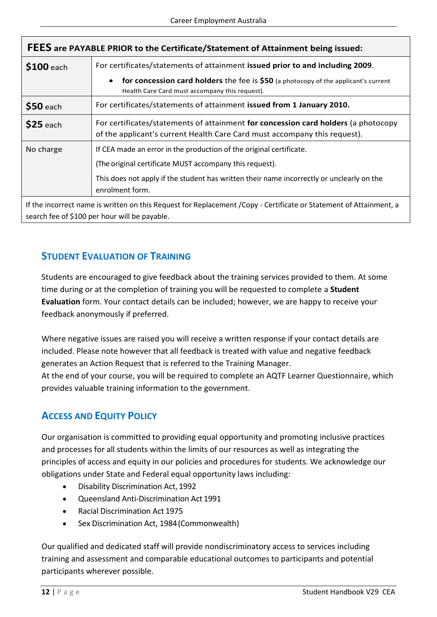| FEES are PAYABLE PRIOR to the Certificate/Statement of Attainment being issued: |                                                                                                                                                                                                                                                |  |  |
|---------------------------------------------------------------------------------|------------------------------------------------------------------------------------------------------------------------------------------------------------------------------------------------------------------------------------------------|--|--|
| \$100 each                                                                      | For certificates/statements of attainment issued prior to and including 2009.                                                                                                                                                                  |  |  |
|                                                                                 | <b>for concession card holders</b> the fee is \$50 (a photocopy of the applicant's current<br>$\bullet$<br>Health Care Card must accompany this request).                                                                                      |  |  |
| \$50 each                                                                       | For certificates/statements of attainment issued from 1 January 2010.                                                                                                                                                                          |  |  |
| $$25$ each                                                                      | For certificates/statements of attainment for concession card holders (a photocopy<br>of the applicant's current Health Care Card must accompany this request).                                                                                |  |  |
| No charge                                                                       | If CEA made an error in the production of the original certificate.<br>(The original certificate MUST accompany this request).<br>This does not apply if the student has written their name incorrectly or unclearly on the<br>enrolment form. |  |  |
|                                                                                 | If the incorrect name is written on this Request for Replacement /Copy - Certificate or Statement of Attainment, a<br>search fee of \$100 per hour will be payable.                                                                            |  |  |

# <span id="page-15-0"></span>**STUDENT EVALUATION OF TRAINING**

Students are encouraged to give feedback about the training services provided to them. At some time during or at the completion of training you will be requested to complete a **Student Evaluation** form. Your contact details can be included; however, we are happy to receive your feedback anonymously if preferred.

Where negative issues are raised you will receive a written response if your contact details are included. Please note however that all feedback is treated with value and negative feedback generates an Action Request that is referred to the Training Manager.

At the end of your course, you will be required to complete an AQTF Learner Questionnaire, which provides valuable training information to the government.

# <span id="page-15-1"></span>**ACCESS AND EQUITY POLICY**

Our organisation is committed to providing equal opportunity and promoting inclusive practices and processes for all students within the limits of our resources as well as integrating the principles of access and equity in our policies and procedures for students. We acknowledge our obligations under State and Federal equal opportunity laws including:

- Disability Discrimination Act, 1992
- Queensland Anti-Discrimination Act 1991
- Racial Discrimination Act 1975
- Sex Discrimination Act, 1984(Commonwealth)

Our qualified and dedicated staff will provide nondiscriminatory access to services including training and assessment and comparable educational outcomes to participants and potential participants wherever possible.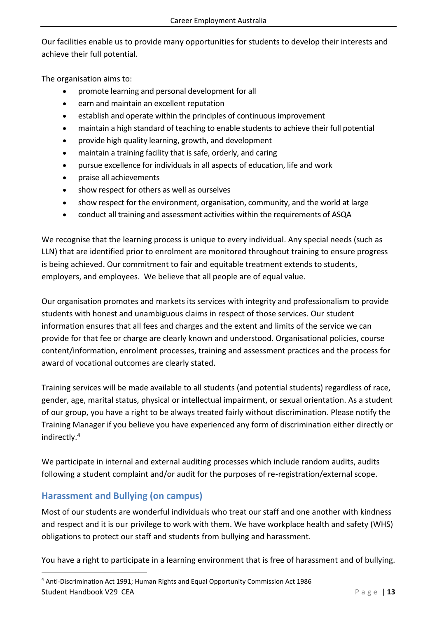Our facilities enable us to provide many opportunities for students to develop their interests and achieve their full potential.

The organisation aims to:

- promote learning and personal development for all
- earn and maintain an excellent reputation
- establish and operate within the principles of continuous improvement
- maintain a high standard of teaching to enable students to achieve their full potential
- provide high quality learning, growth, and development
- maintain a training facility that is safe, orderly, and caring
- pursue excellence for individuals in all aspects of education, life and work
- praise all achievements
- show respect for others as well as ourselves
- show respect for the environment, organisation, community, and the world at large
- conduct all training and assessment activities within the requirements of ASQA

We recognise that the learning process is unique to every individual. Any special needs (such as LLN) that are identified prior to enrolment are monitored throughout training to ensure progress is being achieved. Our commitment to fair and equitable treatment extends to students, employers, and employees. We believe that all people are of equal value.

Our organisation promotes and markets its services with integrity and professionalism to provide students with honest and unambiguous claims in respect of those services. Our student information ensures that all fees and charges and the extent and limits of the service we can provide for that fee or charge are clearly known and understood. Organisational policies, course content/information, enrolment processes, training and assessment practices and the process for award of vocational outcomes are clearly stated.

Training services will be made available to all students (and potential students) regardless of race, gender, age, marital status, physical or intellectual impairment, or sexual orientation. As a student of our group, you have a right to be always treated fairly without discrimination. Please notify the Training Manager if you believe you have experienced any form of discrimination either directly or indirectly.<sup>4</sup>

We participate in internal and external auditing processes which include random audits, audits following a student complaint and/or audit for the purposes of re-registration/external scope.

# <span id="page-16-0"></span>**Harassment and Bullying (on campus)**

Most of our students are wonderful individuals who treat our staff and one another with kindness and respect and it is our privilege to work with them. We have workplace health and safety (WHS) obligations to protect our staff and students from bullying and harassment.

You have a right to participate in a learning environment that is free of harassment and of bullying.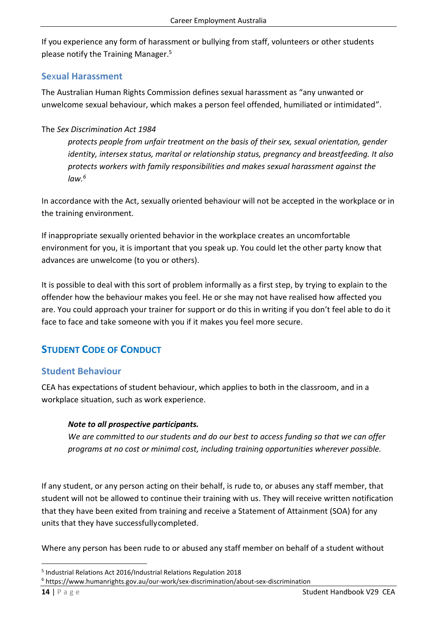If you experience any form of harassment or bullying from staff, volunteers or other students please notify the Training Manager. 5

#### <span id="page-17-0"></span>**Se**x**ual Harassment**

The Australian Human Rights Commission defines sexual harassment as "any unwanted or unwelcome sexual behaviour, which makes a person feel offended, humiliated or intimidated".

#### The *[Sex Discrimination Act 1984](https://www.humanrights.gov.au/about/legislation/index.html#sda)*

*protects people from unfair treatment on the basis of their sex, sexual orientation, gender identity, intersex status, marital or relationship status, pregnancy and breastfeeding. It also protects workers with family responsibilities and makes sexual harassment against the law.<sup>6</sup>*

In accordance with the Act, sexually oriented behaviour will not be accepted in the workplace or in the training environment.

If inappropriate sexually oriented behavior in the workplace creates an uncomfortable environment for you, it is important that you speak up. You could let the other party know that advances are unwelcome (to you or others).

It is possible to deal with this sort of problem informally as a first step, by trying to explain to the offender how the behaviour makes you feel. He or she may not have realised how affected you are. You could approach your trainer for support or do this in writing if you don't feel able to do it face to face and take someone with you if it makes you feel more secure.

# <span id="page-17-1"></span>**STUDENT CODE OF CONDUCT**

# <span id="page-17-2"></span>**Student Behaviour**

CEA has expectations of student behaviour, which applies to both in the classroom, and in a workplace situation, such as work experience.

#### *Note to all prospective participants.*

*We are committed to our students and do our best to access funding so that we can offer p*r*ograms at no cost or minimal cost, including training opportunities wherever possible.* 

If any student, or any person acting on their behalf, is rude to, or abuses any staff member, that student will not be allowed to continue their training with us. They will receive written notification that they have been exited from training and receive a Statement of Attainment (SOA) for any units that they have successfullycompleted.

Where any person has been rude to or abused any staff member on behalf of a student without

<sup>5</sup> Industrial Relations Act 2016/Industrial Relations Regulation 2018

<sup>6</sup> https://www.humanrights.gov.au/our-work/sex-discrimination/about-sex-discrimination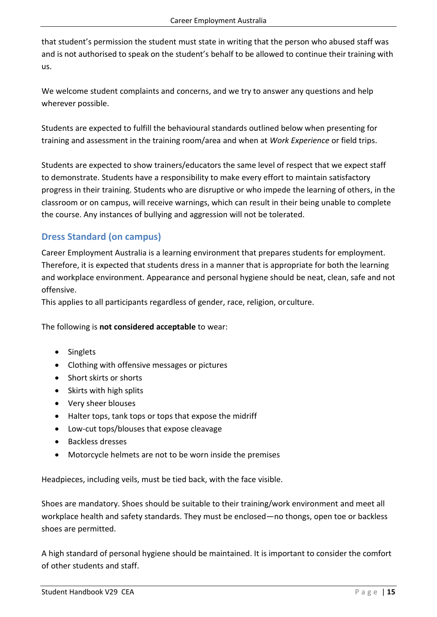that student's permission the student must state in writing that the person who abused staff was and is not authorised to speak on the student's behalf to be allowed to continue their training with us.

We welcome student complaints and concerns, and we try to answer any questions and help wherever possible.

Students are expected to fulfill the behavioural standards outlined below when presenting for training and assessment in the training room/area and when at *Work Experience* or field trips.

Students are expected to show trainers/educators the same level of respect that we expect staff to demonstrate. Students have a responsibility to make every effort to maintain satisfactory progress in their training. Students who are disruptive or who impede the learning of others, in the classroom or on campus, will receive warnings, which can result in their being unable to complete the course. Any instances of bullying and aggression will not be tolerated.

# <span id="page-18-0"></span>**Dress Standard (on campus)**

Career Employment Australia is a learning environment that prepares students for employment. Therefore, it is expected that students dress in a manner that is appropriate for both the learning and workplace environment. Appearance and personal hygiene should be neat, clean, safe and not offensive.

This applies to all participants regardless of gender, race, religion, orculture.

The following is **not considered acceptable** to wear:

- Singlets
- Clothing with offensive messages or pictures
- Short skirts or shorts
- Skirts with high splits
- Very sheer blouses
- Halter tops, tank tops or tops that expose the midriff
- Low-cut tops/blouses that expose cleavage
- Backless dresses
- Motorcycle helmets are not to be worn inside the premises

Headpieces, including veils, must be tied back, with the face visible.

Shoes are mandatory. Shoes should be suitable to their training/work environment and meet all workplace health and safety standards. They must be enclosed—no thongs, open toe or backless shoes are permitted.

A high standard of personal hygiene should be maintained. It is important to consider the comfort of other students and staff.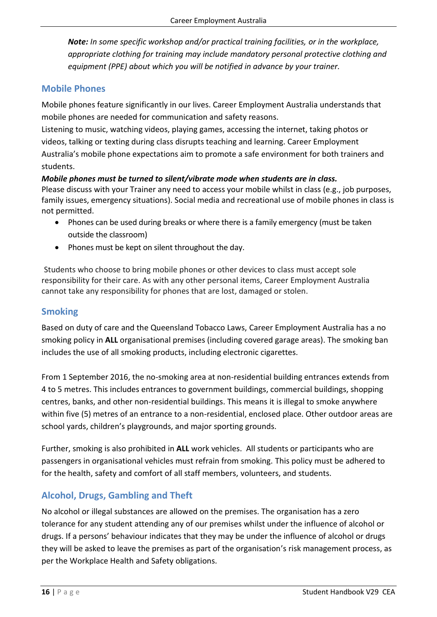*Note: In some specific workshop and/or practical training facilities, or in the workplace, appropriate clothing for training may include mandatory personal protective clothing and equipment (PPE) about which you will be notified in advance by your trainer.*

#### <span id="page-19-0"></span>**Mobile Phones**

Mobile phones feature significantly in our lives. Career Employment Australia understands that mobile phones are needed for communication and safety reasons.

Listening to music, watching videos, playing games, accessing the internet, taking photos or videos, talking or texting during class disrupts teaching and learning. Career Employment Australia's mobile phone expectations aim to promote a safe environment for both trainers and students.

*Mobile phones must be turned to silent/vibrate mode when students are in class.*  Please discuss with your Trainer any need to access your mobile whilst in class (e.g., job purposes, family issues, emergency situations). Social media and recreational use of mobile phones in class is not permitted.

- Phones can be used during breaks or where there is a family emergency (must be taken outside the classroom)
- Phones must be kept on silent throughout the day.

Students who choose to bring mobile phones or other devices to class must accept sole responsibility for their care. As with any other personal items, Career Employment Australia cannot take any responsibility for phones that are lost, damaged or stolen.

## <span id="page-19-1"></span>**Smoking**

Based on duty of care and the Queensland Tobacco Laws, Career Employment Australia has a no smoking policy in **ALL** organisational premises (including covered garage areas). The smoking ban includes the use of all smoking products, including electronic cigarettes.

From 1 September 2016, the no-smoking area at non-residential building entrances extends from 4 to 5 metres. This includes entrances to government buildings, commercial buildings, shopping centres, banks, and other non-residential buildings. This means it is illegal to smoke anywhere within five (5) metres of an entrance to a non-residential, enclosed place. Other outdoor areas are school yards, children's playgrounds, and major sporting grounds.

Further, smoking is also prohibited in **ALL** work vehicles. All students or participants who are passengers in organisational vehicles must refrain from smoking. This policy must be adhered to for the health, safety and comfort of all staff members, volunteers, and students.

# <span id="page-19-2"></span>**Alcohol, Drugs, Gambling and Theft**

No alcohol or illegal substances are allowed on the premises. The organisation has a zero tolerance for any student attending any of our premises whilst under the influence of alcohol or drugs. If a persons' behaviour indicates that they may be under the influence of alcohol or drugs they will be asked to leave the premises as part of the organisation's risk management process, as per the Workplace Health and Safety obligations.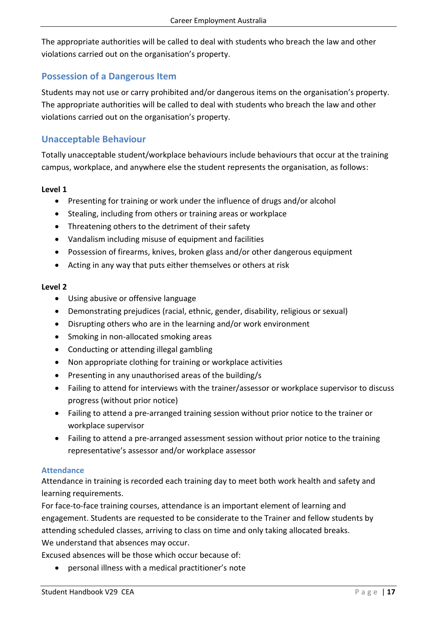The appropriate authorities will be called to deal with students who breach the law and other violations carried out on the organisation's property.

#### <span id="page-20-0"></span>**Possession of a Dangerous Item**

Students may not use or carry prohibited and/or dangerous items on the organisation's property. The appropriate authorities will be called to deal with students who breach the law and other violations carried out on the organisation's property.

#### <span id="page-20-1"></span>**Unacceptable Behaviour**

Totally unacceptable student/workplace behaviours include behaviours that occur at the training campus, workplace, and anywhere else the student represents the organisation, as follows:

#### **Level 1**

- Presenting for training or work under the influence of drugs and/or alcohol
- Stealing, including from others or training areas or workplace
- Threatening others to the detriment of their safety
- Vandalism including misuse of equipment and facilities
- Possession of firearms, knives, broken glass and/or other dangerous equipment
- Acting in any way that puts either themselves or others at risk

#### **Level 2**

- Using abusive or offensive language
- Demonstrating prejudices (racial, ethnic, gender, disability, religious or sexual)
- Disrupting others who are in the learning and/or work environment
- Smoking in non-allocated smoking areas
- Conducting or attending illegal gambling
- Non appropriate clothing for training or workplace activities
- Presenting in any unauthorised areas of the building/s
- Failing to attend for interviews with the trainer/assessor or workplace supervisor to discuss progress (without prior notice)
- Failing to attend a pre-arranged training session without prior notice to the trainer or workplace supervisor
- Failing to attend a pre-arranged assessment session without prior notice to the training representative's assessor and/or workplace assessor

#### <span id="page-20-2"></span>**Attendance**

Attendance in training is recorded each training day to meet both work health and safety and learning requirements.

For face-to-face training courses, attendance is an important element of learning and engagement. Students are requested to be considerate to the Trainer and fellow students by attending scheduled classes, arriving to class on time and only taking allocated breaks. We understand that absences may occur.

Excused absences will be those which occur because of:

• personal illness with a medical practitioner's note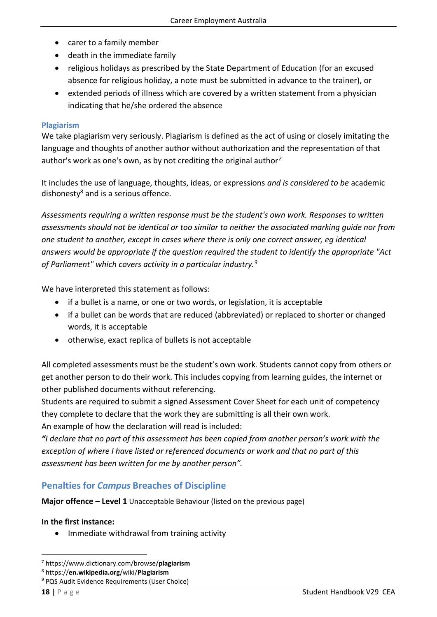- carer to a family member
- death in the immediate family
- religious holidays as prescribed by the State Department of Education (for an excused absence for religious holiday, a note must be submitted in advance to the trainer), or
- extended periods of illness which are covered by a written statement from a physician indicating that he/she ordered the absence

#### <span id="page-21-0"></span>**Plagiarism**

We take plagiarism very seriously. Plagiarism is defined as the act of using or closely imitating the language and thoughts of another author without authorization and the representation of that author's work as one's own, as by not crediting the original author*<sup>7</sup>*

It includes the use of language, thoughts, ideas, or expressions *and is considered to be* academic dishonesty $8$  and is a serious offence.

*Assessments requiring a written response must be the student's own work. Responses to written assessments should not be identical or too similar to neither the associated marking guide nor from one student to another, except in cases where there is only one correct answer, eg identical answers would be appropriate if the question required the student to identify the appropriate "Act of Parliament" which covers activity in a particular industry.<sup>9</sup>*

We have interpreted this statement as follows:

- if a bullet is a name, or one or two words, or legislation, it is acceptable
- if a bullet can be words that are reduced (abbreviated) or replaced to shorter or changed words, it is acceptable
- otherwise, exact replica of bullets is not acceptable

All completed assessments must be the student's own work. Students cannot copy from others or get another person to do their work. This includes copying from learning guides, the internet or other published documents without referencing.

Students are required to submit a signed Assessment Cover Sheet for each unit of competency they complete to declare that the work they are submitting is all their own work. An example of how the declaration will read is included:

*"I declare that no part of this assessment has been copied from another person's work with the exception of where I have listed or referenced documents or work and that no part of this assessment has been written for me by another person".*

#### <span id="page-21-1"></span>**Penalties for** *Campus* **Breaches of Discipline**

**Major offence – Level 1** Unacceptable Behaviour (listed on the previous page)

#### **In the first instance:**

• Immediate withdrawal from training activity

<sup>7</sup> https://www.dictionary.com/browse/**plagiarism**

<sup>8</sup> https://**en.wikipedia.org**/wiki/**Plagiarism**

<sup>&</sup>lt;sup>9</sup> PQS Audit Evidence Requirements (User Choice)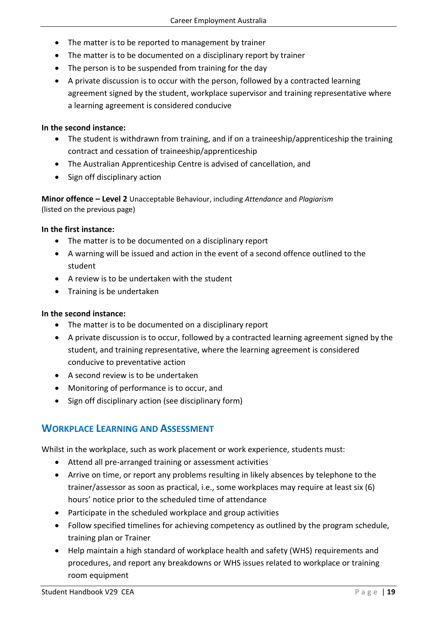- The matter is to be reported to management by trainer
- The matter is to be documented on a disciplinary report by trainer
- The person is to be suspended from training for the day
- A private discussion is to occur with the person, followed by a contracted learning agreement signed by the student, workplace supervisor and training representative where a learning agreement is considered conducive

#### **In the second instance:**

- The student is withdrawn from training, and if on a traineeship/apprenticeship the training contract and cessation of traineeship/apprenticeship
- The Australian Apprenticeship Centre is advised of cancellation, and
- Sign off disciplinary action

**Minor offence – Level 2** Unacceptable Behaviour, including *Attendance* and *Plagiarism* (listed on the previous page)

#### **In the first instance:**

- The matter is to be documented on a disciplinary report
- A warning will be issued and action in the event of a second offence outlined to the student
- A review is to be undertaken with the student
- Training is be undertaken

#### **In the second instance:**

- The matter is to be documented on a disciplinary report
- A private discussion is to occur, followed by a contracted learning agreement signed by the student, and training representative, where the learning agreement is considered conducive to preventative action
- A second review is to be undertaken
- Monitoring of performance is to occur, and
- Sign off disciplinary action (see disciplinary form)

#### <span id="page-22-0"></span>**WORKPLACE LEARNING AND ASSESSMENT**

Whilst in the workplace, such as work placement or work experience, students must:

- Attend all pre-arranged training or assessment activities
- Arrive on time, or report any problems resulting in likely absences by telephone to the trainer/assessor as soon as practical, i.e., some workplaces may require at least six (6) hours' notice prior to the scheduled time of attendance
- Participate in the scheduled workplace and group activities
- Follow specified timelines for achieving competency as outlined by the program schedule, training plan or Trainer
- Help maintain a high standard of workplace health and safety (WHS) requirements and procedures, and report any breakdowns or WHS issues related to workplace or training room equipment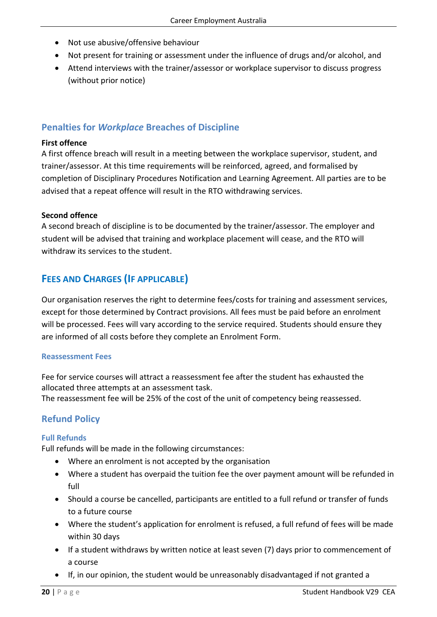- Not use abusive/offensive behaviour
- Not present for training or assessment under the influence of drugs and/or alcohol, and
- Attend interviews with the trainer/assessor or workplace supervisor to discuss progress (without prior notice)

# <span id="page-23-0"></span>**Penalties for** *Workplace* **Breaches of Discipline**

#### **First offence**

A first offence breach will result in a meeting between the workplace supervisor, student, and trainer/assessor. At this time requirements will be reinforced, agreed, and formalised by completion of Disciplinary Procedures Notification and Learning Agreement. All parties are to be advised that a repeat offence will result in the RTO withdrawing services.

#### **Second offence**

A second breach of discipline is to be documented by the trainer/assessor. The employer and student will be advised that training and workplace placement will cease, and the RTO will withdraw its services to the student.

# <span id="page-23-1"></span>**FEES AND CHARGES (IF APPLICABLE)**

Our organisation reserves the right to determine fees/costs for training and assessment services, except for those determined by Contract provisions. All fees must be paid before an enrolment will be processed. Fees will vary according to the service required. Students should ensure they are informed of all costs before they complete an Enrolment Form.

#### <span id="page-23-2"></span>**Reassessment Fees**

Fee for service courses will attract a reassessment fee after the student has exhausted the allocated three attempts at an assessment task.

The reassessment fee will be 25% of the cost of the unit of competency being reassessed.

# <span id="page-23-3"></span>**Refund Policy**

#### <span id="page-23-4"></span>**Full Refunds**

Full refunds will be made in the following circumstances:

- Where an enrolment is not accepted by the organisation
- Where a student has overpaid the tuition fee the over payment amount will be refunded in full
- Should a course be cancelled, participants are entitled to a full refund or transfer of funds to a future course
- Where the student's application for enrolment is refused, a full refund of fees will be made within 30 days
- If a student withdraws by written notice at least seven (7) days prior to commencement of a course
- If, in our opinion, the student would be unreasonably disadvantaged if not granted a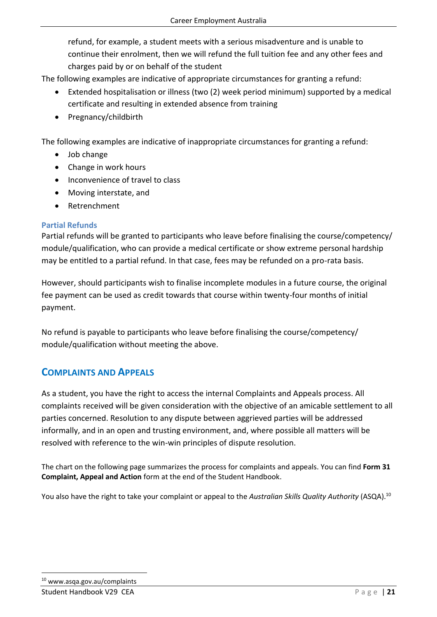refund, for example, a student meets with a serious misadventure and is unable to continue their enrolment, then we will refund the full tuition fee and any other fees and charges paid by or on behalf of the student

The following examples are indicative of appropriate circumstances for granting a refund:

- Extended hospitalisation or illness (two (2) week period minimum) supported by a medical certificate and resulting in extended absence from training
- Pregnancy/childbirth

The following examples are indicative of inappropriate circumstances for granting a refund:

- Job change
- Change in work hours
- Inconvenience of travel to class
- Moving interstate, and
- Retrenchment

#### <span id="page-24-0"></span>**Partial Refunds**

Partial refunds will be granted to participants who leave before finalising the course/competency/ module/qualification, who can provide a medical certificate or show extreme personal hardship may be entitled to a partial refund. In that case, fees may be refunded on a pro-rata basis.

However, should participants wish to finalise incomplete modules in a future course, the original fee payment can be used as credit towards that course within twenty-four months of initial payment.

No refund is payable to participants who leave before finalising the course/competency/ module/qualification without meeting the above.

# <span id="page-24-1"></span>**COMPLAINTS AND APPEALS**

As a student, you have the right to access the internal Complaints and Appeals process. All complaints received will be given consideration with the objective of an amicable settlement to all parties concerned. Resolution to any dispute between aggrieved parties will be addressed informally, and in an open and trusting environment, and, where possible all matters will be resolved with reference to the win-win principles of dispute resolution.

The chart on the following page summarizes the process for complaints and appeals. You can find **Form 31 Complaint, Appeal and Action** form at the end of the Student Handbook.

You also have the right to take your complaint or appeal to the *Australian Skills Quality Authority* (ASQA).<sup>10</sup>

# <sup>10</sup> www.asqa.gov.au/complaints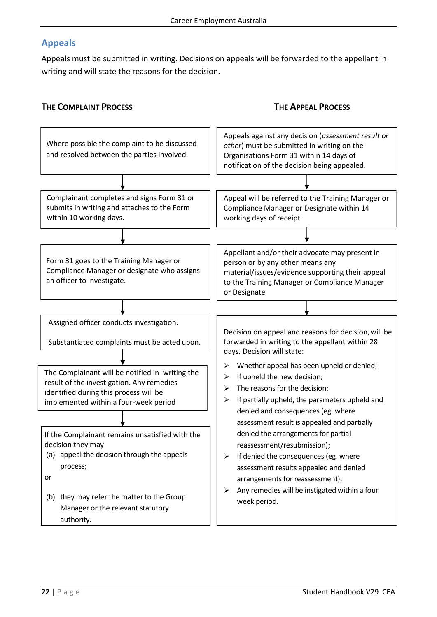#### <span id="page-25-0"></span>**Appeals**

Appeals must be submitted in writing. Decisions on appeals will be forwarded to the appellant in writing and will state the reasons for the decision.

#### **THE COMPLAINT PROCESS THE APPEAL PROCESS**

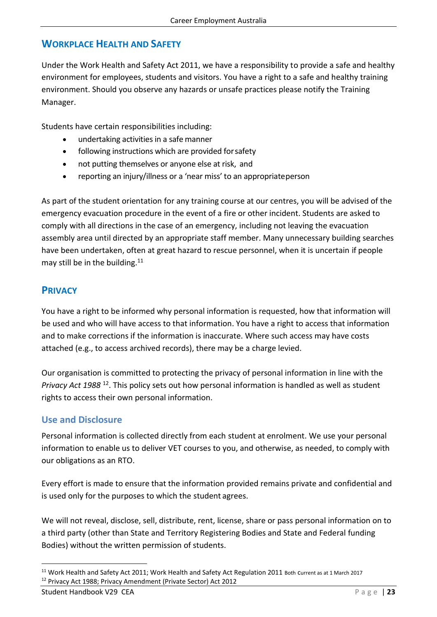# <span id="page-26-0"></span>**WORKPLACE HEALTH AND SAFETY**

Under the Work Health and Safety Act 2011, we have a responsibility to provide a safe and healthy environment for employees, students and visitors. You have a right to a safe and healthy training environment. Should you observe any hazards or unsafe practices please notify the Training Manager.

Students have certain responsibilities including:

- undertaking activities in a safe manner
- following instructions which are provided forsafety
- not putting themselves or anyone else at risk, and
- reporting an injury/illness or a 'near miss' to an appropriateperson

As part of the student orientation for any training course at our centres, you will be advised of the emergency evacuation procedure in the event of a fire or other incident. Students are asked to comply with all directions in the case of an emergency, including not leaving the evacuation assembly area until directed by an appropriate staff member. Many unnecessary building searches have been undertaken, often at great hazard to rescue personnel, when it is uncertain if people may still be in the building. $11$ 

# <span id="page-26-1"></span>**PRIVACY**

You have a right to be informed why personal information is requested, how that information will be used and who will have access to that information. You have a right to access that information and to make corrections if the information is inaccurate. Where such access may have costs attached (e.g., to access archived records), there may be a charge levied.

Our organisation is committed to protecting the privacy of personal information in line with the *Privacy Act 1988* <sup>12</sup>. This policy sets out how personal information is handled as well as student rights to access their own personal information.

#### <span id="page-26-2"></span>**Use and Disclosure**

Personal information is collected directly from each student at enrolment. We use your personal information to enable us to deliver VET courses to you, and otherwise, as needed, to comply with our obligations as an RTO.

Every effort is made to ensure that the information provided remains private and confidential and is used only for the purposes to which the student agrees.

We will not reveal, disclose, sell, distribute, rent, license, share or pass personal information on to a third party (other than State and Territory Registering Bodies and State and Federal funding Bodies) without the written permission of students.

<sup>&</sup>lt;sup>11</sup> Work Health and Safety Act 2011; Work Health and Safety Act Regulation 2011 Both Current as at 1 March 2017 <sup>12</sup> Privacy Act 1988; Privacy Amendment (Private Sector) Act 2012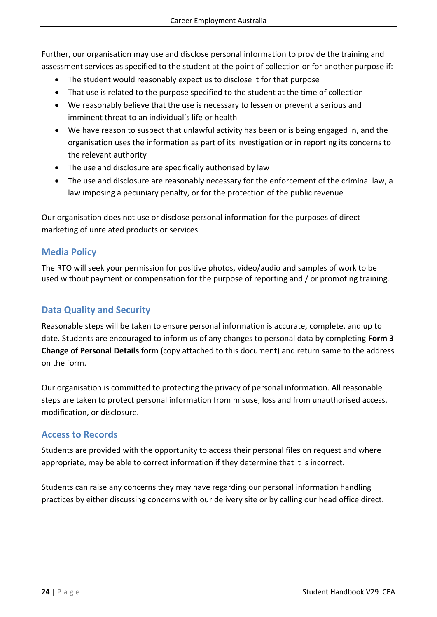Further, our organisation may use and disclose personal information to provide the training and assessment services as specified to the student at the point of collection or for another purpose if:

- The student would reasonably expect us to disclose it for that purpose
- That use is related to the purpose specified to the student at the time of collection
- We reasonably believe that the use is necessary to lessen or prevent a serious and imminent threat to an individual's life or health
- We have reason to suspect that unlawful activity has been or is being engaged in, and the organisation uses the information as part of its investigation or in reporting its concerns to the relevant authority
- The use and disclosure are specifically authorised by law
- The use and disclosure are reasonably necessary for the enforcement of the criminal law, a law imposing a pecuniary penalty, or for the protection of the public revenue

Our organisation does not use or disclose personal information for the purposes of direct marketing of unrelated products or services.

#### <span id="page-27-0"></span>**Media Policy**

The RTO will seek your permission for positive photos, video/audio and samples of work to be used without payment or compensation for the purpose of reporting and / or promoting training.

# <span id="page-27-1"></span>**Data Quality and Security**

Reasonable steps will be taken to ensure personal information is accurate, complete, and up to date. Students are encouraged to inform us of any changes to personal data by completing **Form 3 Change of Personal Details** form (copy attached to this document) and return same to the address on the form.

Our organisation is committed to protecting the privacy of personal information. All reasonable steps are taken to protect personal information from misuse, loss and from unauthorised access, modification, or disclosure.

#### <span id="page-27-2"></span>**Access to Records**

Students are provided with the opportunity to access their personal files on request and where appropriate, may be able to correct information if they determine that it is incorrect.

Students can raise any concerns they may have regarding our personal information handling practices by either discussing concerns with our delivery site or by calling our head office direct.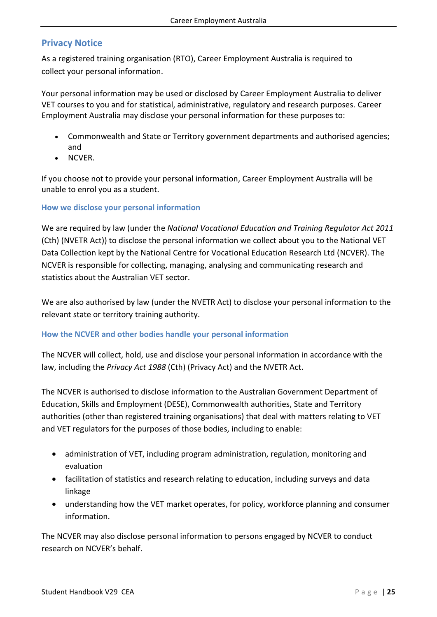#### <span id="page-28-0"></span>**Privacy Notice**

As a registered training organisation (RTO), Career Employment Australia is required to collect your personal information.

Your personal information may be used or disclosed by Career Employment Australia to deliver VET courses to you and for statistical, administrative, regulatory and research purposes. Career Employment Australia may disclose your personal information for these purposes to:

- Commonwealth and State or Territory government departments and authorised agencies; and
- NCVER.

If you choose not to provide your personal information, Career Employment Australia will be unable to enrol you as a student.

#### <span id="page-28-1"></span>**How we disclose your personal information**

We are required by law (under the *National Vocational Education and Training Regulator Act 2011*  (Cth) (NVETR Act)) to disclose the personal information we collect about you to the National VET Data Collection kept by the National Centre for Vocational Education Research Ltd (NCVER). The NCVER is responsible for collecting, managing, analysing and communicating research and statistics about the Australian VET sector.

We are also authorised by law (under the NVETR Act) to disclose your personal information to the relevant state or territory training authority.

#### <span id="page-28-2"></span>**How the NCVER and other bodies handle your personal information**

The NCVER will collect, hold, use and disclose your personal information in accordance with the law, including the *Privacy Act 1988* (Cth) (Privacy Act) and the NVETR Act.

The NCVER is authorised to disclose information to the Australian Government Department of Education, Skills and Employment (DESE), Commonwealth authorities, State and Territory authorities (other than registered training organisations) that deal with matters relating to VET and VET regulators for the purposes of those bodies, including to enable:

- administration of VET, including program administration, regulation, monitoring and evaluation
- facilitation of statistics and research relating to education, including surveys and data linkage
- understanding how the VET market operates, for policy, workforce planning and consumer information.

The NCVER may also disclose personal information to persons engaged by NCVER to conduct research on NCVER's behalf.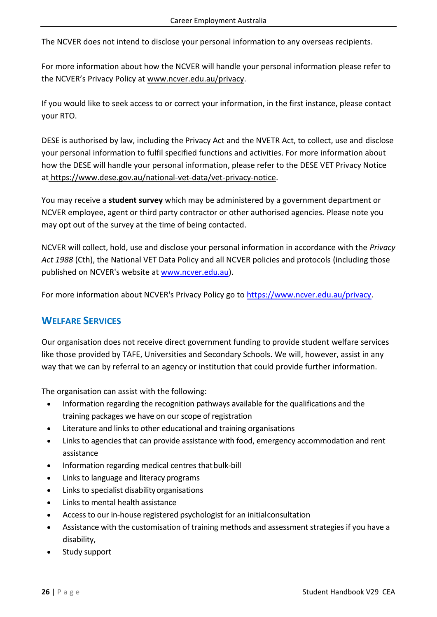The NCVER does not intend to disclose your personal information to any overseas recipients.

For more information about how the NCVER will handle your personal information please refer to the NCVER's Privacy Policy at [www.ncver.edu.au/privacy.](http://www.ncver.edu.au/privacy)

If you would like to seek access to or correct your information, in the first instance, please contact your RTO.

DESE is authorised by law, including the Privacy Act and the NVETR Act, to collect, use and disclose your personal information to fulfil specified functions and activities. For more information about how the DESE will handle your personal information, please refer to the DESE VET Privacy Notice at [https://www.dese.gov.au/national-vet-data/vet-privacy-notice.](https://www.dese.gov.au/national-vet-data/vet-privacy-notice)

You may receive a **student survey** which may be administered by a government department or NCVER employee, agent or third party contractor or other authorised agencies. Please note you may opt out of the survey at the time of being contacted.

NCVER will collect, hold, use and disclose your personal information in accordance with the *Privacy Act 1988* (Cth), the National VET Data Policy and all NCVER policies and protocols (including those published on NCVER's website at [www.ncver.edu.au\)](http://www.ncver.edu.au/).

For more information about NCVER's Privacy Policy go to [https://www.ncver.edu.au/privacy.](https://www.ncver.edu.au/privacy)

# <span id="page-29-0"></span>**WELFARE SERVICES**

Our organisation does not receive direct government funding to provide student welfare services like those provided by TAFE, Universities and Secondary Schools. We will, however, assist in any way that we can by referral to an agency or institution that could provide further information.

The organisation can assist with the following:

- Information regarding the recognition pathways available for the qualifications and the training packages we have on our scope ofregistration
- Literature and links to other educational and training organisations
- Links to agencies that can provide assistance with food, emergency accommodation and rent assistance
- Information regarding medical centres that bulk-bill
- Links to language and literacy programs
- Links to specialist disability organisations
- Links to mental health assistance
- Access to our in-house registered psychologist for an initialconsultation
- Assistance with the customisation of training methods and assessment strategies if you have a disability,
- Study support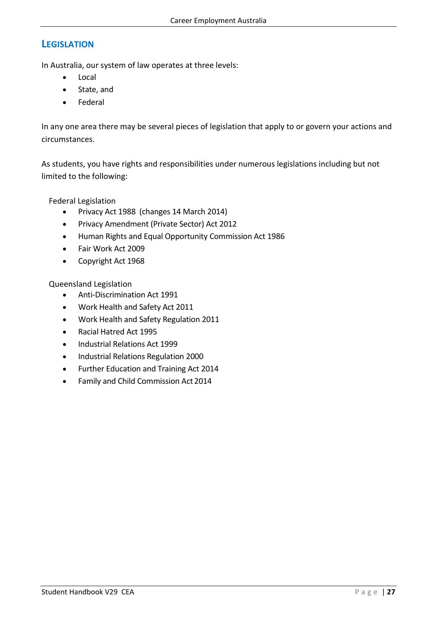# <span id="page-30-0"></span>**LEGISLATION**

In Australia, our system of law operates at three levels:

- Local
- State, and
- Federal

In any one area there may be several pieces of legislation that apply to or govern your actions and circumstances.

As students, you have rights and responsibilities under numerous legislations including but not limited to the following:

Federal Legislation

- Privacy Act 1988 (changes 14 March 2014)
- Privacy Amendment (Private Sector) Act 2012
- Human Rights and Equal Opportunity Commission Act 1986
- Fair Work Act 2009
- Copyright Act 1968

Queensland Legislation

- Anti-Discrimination Act 1991
- Work Health and Safety Act 2011
- Work Health and Safety Regulation 2011
- Racial Hatred Act 1995
- Industrial Relations Act 1999
- Industrial Relations Regulation 2000
- Further Education and Training Act 2014
- Family and Child Commission Act 2014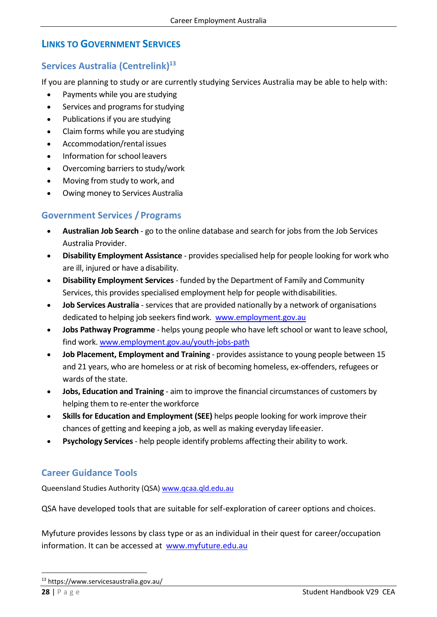# <span id="page-31-0"></span>**LINKS TO GOVERNMENT SERVICES**

# <span id="page-31-1"></span>**Services Australia (Centrelink) 13**

If you are planning to study or are currently studying Services Australia may be able to help with:

- Payments while you are studying
- Services and programs for studying
- Publications if you are studying
- Claim forms while you are studying
- Accommodation/rental issues
- Information for school leavers
- Overcoming barriers to study/work
- Moving from study to work, and
- Owing money to Services Australia

#### <span id="page-31-2"></span>**Government Services / Programs**

- **Australian Job Search**  go to the online database and search for jobs from the Job Services Australia Provider.
- **Disability Employment Assistance**  provides specialised help for people looking for work who are ill, injured or have adisability.
- **Disability Employment Services**  funded by the Department of Family and Community Services, this provides specialised employment help for people withdisabilities.
- **Job Services Australia**  services that are provided nationally by a network of organisations dedicated to helping job seekers find work. [www.employment.gov.au](http://www.employment.gov.au/)
- **Jobs Pathway Programme**  helps young people who have left school or want to leave school, find work. [www.employment.gov.au/youth-jobs-path](http://www.employment.gov.au/youth-jobs-path)
- **Job Placement, Employment and Training**  provides assistance to young people between 15 and 21 years, who are homeless or at risk of becoming homeless, ex-offenders, refugees or wards of the state.
- **Jobs, Education and Training**  aim to improve the financial circumstances of customers by helping them to re-enter theworkforce
- **Skills for Education and Employment (SEE)** helps people looking for work improve their chances of getting and keeping a job, as well as making everyday lifeeasier.
- **Psychology Services**  help people identify problems affecting their ability to work.

#### <span id="page-31-3"></span>**Career Guidance Tools**

Queensland Studies Authority (QSA[\) www.qcaa.qld.edu.au](http://www.qcaa.qld.edu.au/)

QSA have developed tools that are suitable for self-exploration of career options and choices.

Myfuture provides lessons by class type or as an individual in their quest for career/occupation information. It can be accessed at [www.myfuture.edu.au](http://www.myfuture.edu.au/)

<sup>13</sup> https://www.servicesaustralia.gov.au/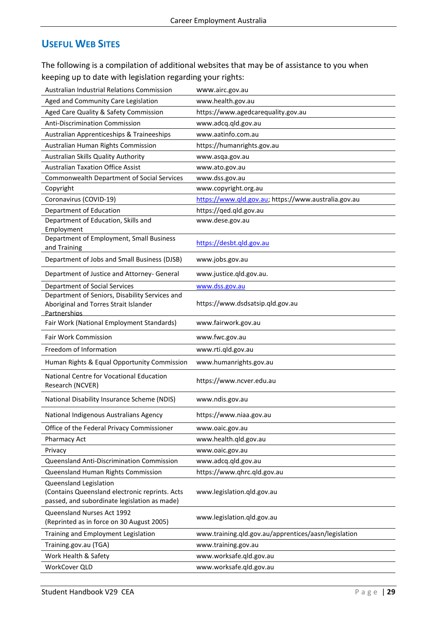# <span id="page-32-0"></span>**USEFUL WEB SITES**

The following is a compilation of additional websites that may be of assistance to you when keeping up to date with legislation regarding your rights:

| Australian Industrial Relations Commission                                                                               | www.airc.gov.au                                      |
|--------------------------------------------------------------------------------------------------------------------------|------------------------------------------------------|
| Aged and Community Care Legislation                                                                                      | www.health.gov.au                                    |
| Aged Care Quality & Safety Commission                                                                                    | https://www.agedcarequality.gov.au                   |
| <b>Anti-Discrimination Commission</b>                                                                                    | www.adcq.qld.gov.au                                  |
| Australian Apprenticeships & Traineeships                                                                                | www.aatinfo.com.au                                   |
| Australian Human Rights Commission                                                                                       | https://humanrights.gov.au                           |
| Australian Skills Quality Authority                                                                                      | www.asqa.gov.au                                      |
| <b>Australian Taxation Office Assist</b>                                                                                 | www.ato.gov.au                                       |
| <b>Commonwealth Department of Social Services</b>                                                                        | www.dss.gov.au                                       |
| Copyright                                                                                                                | www.copyright.org.au                                 |
| Coronavirus (COVID-19)                                                                                                   | https://www.qld.gov.au; https://www.australia.gov.au |
| Department of Education                                                                                                  | https://qed.qld.gov.au                               |
| Department of Education, Skills and                                                                                      | www.dese.gov.au                                      |
| Employment<br>Department of Employment, Small Business                                                                   |                                                      |
| and Training                                                                                                             | https://desbt.qld.gov.au                             |
| Department of Jobs and Small Business (DJSB)                                                                             | www.jobs.gov.au                                      |
| Department of Justice and Attorney- General                                                                              | www.justice.qld.gov.au.                              |
| <b>Department of Social Services</b>                                                                                     | www.dss.gov.au                                       |
| Department of Seniors, Disability Services and<br>Aboriginal and Torres Strait Islander<br>Partnerships                  | https://www.dsdsatsip.qld.gov.au                     |
| Fair Work (National Employment Standards)                                                                                | www.fairwork.gov.au                                  |
|                                                                                                                          |                                                      |
| Fair Work Commission                                                                                                     | www.fwc.gov.au                                       |
| Freedom of Information                                                                                                   | www.rti.qld.gov.au                                   |
| Human Rights & Equal Opportunity Commission                                                                              | www.humanrights.gov.au                               |
| National Centre for Vocational Education<br>Research (NCVER)                                                             | https://www.ncver.edu.au                             |
| National Disability Insurance Scheme (NDIS)                                                                              | www.ndis.gov.au                                      |
| National Indigenous Australians Agency                                                                                   | https://www.niaa.gov.au                              |
| Office of the Federal Privacy Commissioner                                                                               | www.oaic.gov.au                                      |
| Pharmacy Act                                                                                                             | www.health.qld.gov.au                                |
| Privacy                                                                                                                  | www.oaic.gov.au                                      |
| Queensland Anti-Discrimination Commission                                                                                | www.adcq.qld.gov.au                                  |
| Queensland Human Rights Commission                                                                                       | https://www.qhrc.qld.gov.au                          |
| Queensland Legislation<br>(Contains Queensland electronic reprints. Acts<br>passed, and subordinate legislation as made) | www.legislation.qld.gov.au                           |
| Queensland Nurses Act 1992<br>(Reprinted as in force on 30 August 2005)                                                  | www.legislation.qld.gov.au                           |
| Training and Employment Legislation                                                                                      | www.training.qld.gov.au/apprentices/aasn/legislation |
| Training.gov.au (TGA)                                                                                                    | www.training.gov.au                                  |
| Work Health & Safety                                                                                                     | www.worksafe.qld.gov.au                              |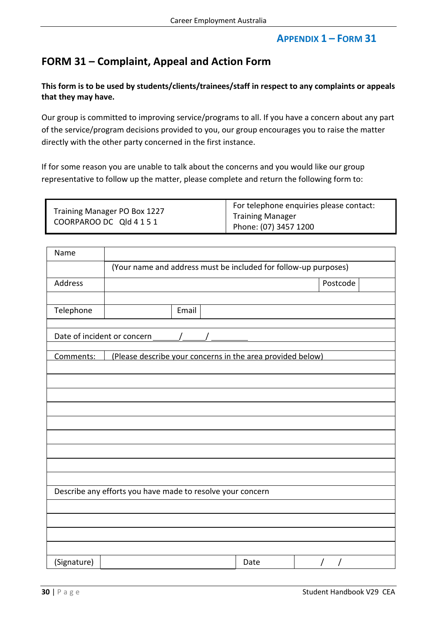# **APPENDIX 1 – FORM 31**

# <span id="page-33-0"></span>**FORM 31 – Complaint, Appeal and Action Form**

**This form is to be used by students/clients/trainees/staff in respect to any complaints or appeals that they may have.**

Our group is committed to improving service/programs to all. If you have a concern about any part of the service/program decisions provided to you, our group encourages you to raise the matter directly with the other party concerned in the first instance.

If for some reason you are unable to talk about the concerns and you would like our group representative to follow up the matter, please complete and return the following form to:

| Training Manager PO Box 1227<br>COORPAROO DC Qld 4 1 5 1 | For telephone enquiries please contact: |
|----------------------------------------------------------|-----------------------------------------|
|                                                          | <b>Training Manager</b>                 |
|                                                          | Phone: (07) 3457 1200                   |

| Name                                                       |                                                                 |      |          |  |  |  |
|------------------------------------------------------------|-----------------------------------------------------------------|------|----------|--|--|--|
|                                                            | (Your name and address must be included for follow-up purposes) |      |          |  |  |  |
| Address                                                    |                                                                 |      | Postcode |  |  |  |
|                                                            |                                                                 |      |          |  |  |  |
| Telephone                                                  | Email                                                           |      |          |  |  |  |
|                                                            |                                                                 |      |          |  |  |  |
| Comments:                                                  | (Please describe your concerns in the area provided below)      |      |          |  |  |  |
|                                                            |                                                                 |      |          |  |  |  |
|                                                            |                                                                 |      |          |  |  |  |
|                                                            |                                                                 |      |          |  |  |  |
|                                                            |                                                                 |      |          |  |  |  |
|                                                            |                                                                 |      |          |  |  |  |
|                                                            |                                                                 |      |          |  |  |  |
|                                                            |                                                                 |      |          |  |  |  |
|                                                            |                                                                 |      |          |  |  |  |
| Describe any efforts you have made to resolve your concern |                                                                 |      |          |  |  |  |
|                                                            |                                                                 |      |          |  |  |  |
|                                                            |                                                                 |      |          |  |  |  |
|                                                            |                                                                 |      |          |  |  |  |
| (Signature)                                                |                                                                 | Date |          |  |  |  |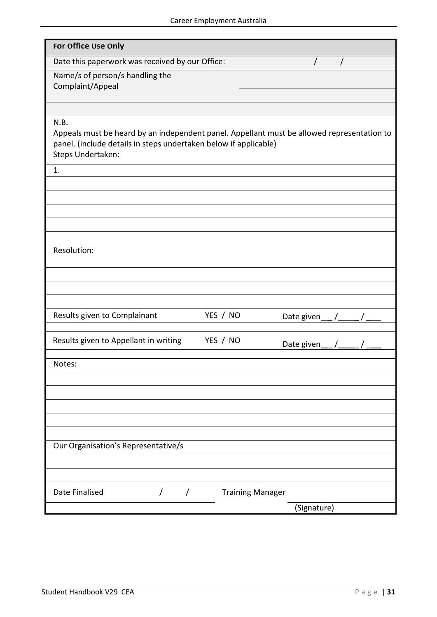| For Office Use Only                                                                        |                         |                            |
|--------------------------------------------------------------------------------------------|-------------------------|----------------------------|
| Date this paperwork was received by our Office:                                            |                         |                            |
| Name/s of person/s handling the                                                            |                         |                            |
| Complaint/Appeal                                                                           |                         |                            |
|                                                                                            |                         |                            |
|                                                                                            |                         |                            |
| N.B.                                                                                       |                         |                            |
| Appeals must be heard by an independent panel. Appellant must be allowed representation to |                         |                            |
| panel. (include details in steps undertaken below if applicable)                           |                         |                            |
| Steps Undertaken:                                                                          |                         |                            |
|                                                                                            |                         |                            |
| 1.                                                                                         |                         |                            |
|                                                                                            |                         |                            |
|                                                                                            |                         |                            |
|                                                                                            |                         |                            |
|                                                                                            |                         |                            |
|                                                                                            |                         |                            |
|                                                                                            |                         |                            |
| Resolution:                                                                                |                         |                            |
|                                                                                            |                         |                            |
|                                                                                            |                         |                            |
|                                                                                            |                         |                            |
|                                                                                            |                         |                            |
| Results given to Complainant                                                               | YES / NO                |                            |
|                                                                                            |                         | Date given___ $/$ ____ $/$ |
|                                                                                            |                         |                            |
| Results given to Appellant in writing                                                      | YES / NO                | Date given $/$ /           |
|                                                                                            |                         |                            |
| Notes:                                                                                     |                         |                            |
|                                                                                            |                         |                            |
|                                                                                            |                         |                            |
|                                                                                            |                         |                            |
|                                                                                            |                         |                            |
|                                                                                            |                         |                            |
|                                                                                            |                         |                            |
| Our Organisation's Representative/s                                                        |                         |                            |
|                                                                                            |                         |                            |
|                                                                                            |                         |                            |
|                                                                                            |                         |                            |
| Date Finalised<br>$\overline{1}$<br>$\prime$                                               | <b>Training Manager</b> |                            |
|                                                                                            |                         |                            |
|                                                                                            |                         | (Signature)                |